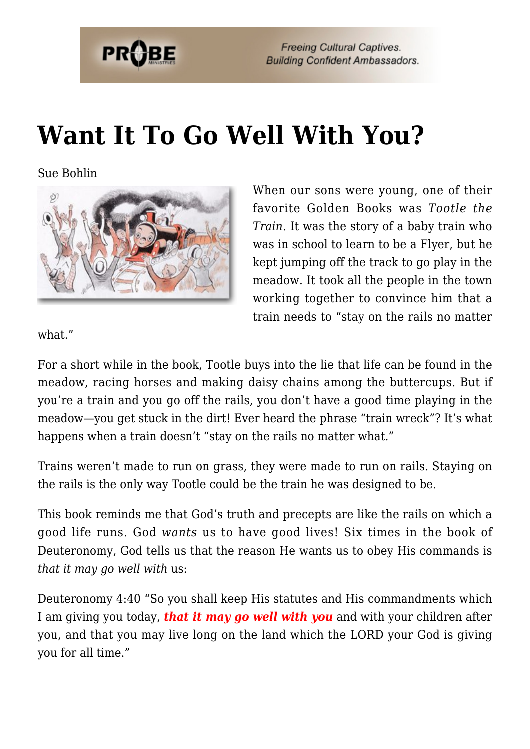

**Freeing Cultural Captives. Building Confident Ambassadors.** 

## **[Want It To Go Well With You?](https://probe.org/want-it-to-go-well-with-you/)**

Sue Bohlin



When our sons were young, one of their favorite Golden Books was *Tootle the Train*. It was the story of a baby train who was in school to learn to be a Flyer, but he kept jumping off the track to go play in the meadow. It took all the people in the town working together to convince him that a train needs to "stay on the rails no matter

what."

For a short while in the book, Tootle buys into the lie that life can be found in the meadow, racing horses and making daisy chains among the buttercups. But if you're a train and you go off the rails, you don't have a good time playing in the meadow—you get stuck in the dirt! Ever heard the phrase "train wreck"? It's what happens when a train doesn't "stay on the rails no matter what."

Trains weren't made to run on grass, they were made to run on rails. Staying on the rails is the only way Tootle could be the train he was designed to be.

This book reminds me that God's truth and precepts are like the rails on which a good life runs. God *wants* us to have good lives! Six times in the book of Deuteronomy, God tells us that the reason He wants us to obey His commands is *that it may go well with* us:

Deuteronomy 4:40 "So you shall keep His statutes and His commandments which I am giving you today, *that it may go well with you* and with your children after you, and that you may live long on the land which the LORD your God is giving you for all time."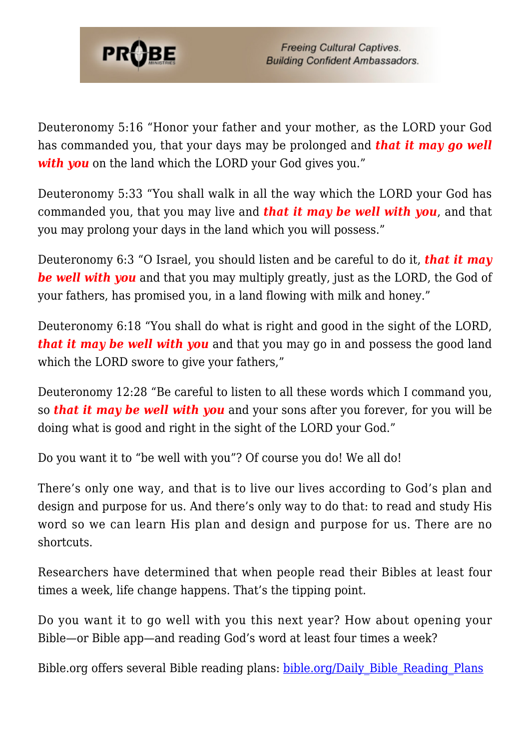

Deuteronomy 5:16 "Honor your father and your mother, as the LORD your God has commanded you, that your days may be prolonged and *that it may go well with you* on the land which the LORD your God gives you."

Deuteronomy 5:33 "You shall walk in all the way which the LORD your God has commanded you, that you may live and *that it may be well with you*, and that you may prolong your days in the land which you will possess."

Deuteronomy 6:3 "O Israel, you should listen and be careful to do it, *that it may be well with you* and that you may multiply greatly, just as the LORD, the God of your fathers, has promised you, in a land flowing with milk and honey."

Deuteronomy 6:18 "You shall do what is right and good in the sight of the LORD, *that it may be well with you* and that you may go in and possess the good land which the LORD swore to give your fathers,"

Deuteronomy 12:28 "Be careful to listen to all these words which I command you, so *that it may be well with you* and your sons after you forever, for you will be doing what is good and right in the sight of the LORD your God."

Do you want it to "be well with you"? Of course you do! We all do!

There's only one way, and that is to live our lives according to God's plan and design and purpose for us. And there's only way to do that: to read and study His word so we can learn His plan and design and purpose for us. There are no shortcuts.

Researchers have determined that when people read their Bibles at least four times a week, life change happens. That's the tipping point.

Do you want it to go well with you this next year? How about opening your Bible—or Bible app—and reading God's word at least four times a week?

Bible.org offers several Bible reading plans: [bible.org/Daily\\_Bible\\_Reading\\_Plans](https://bible.org/Daily_Bible_Reading_Plans)